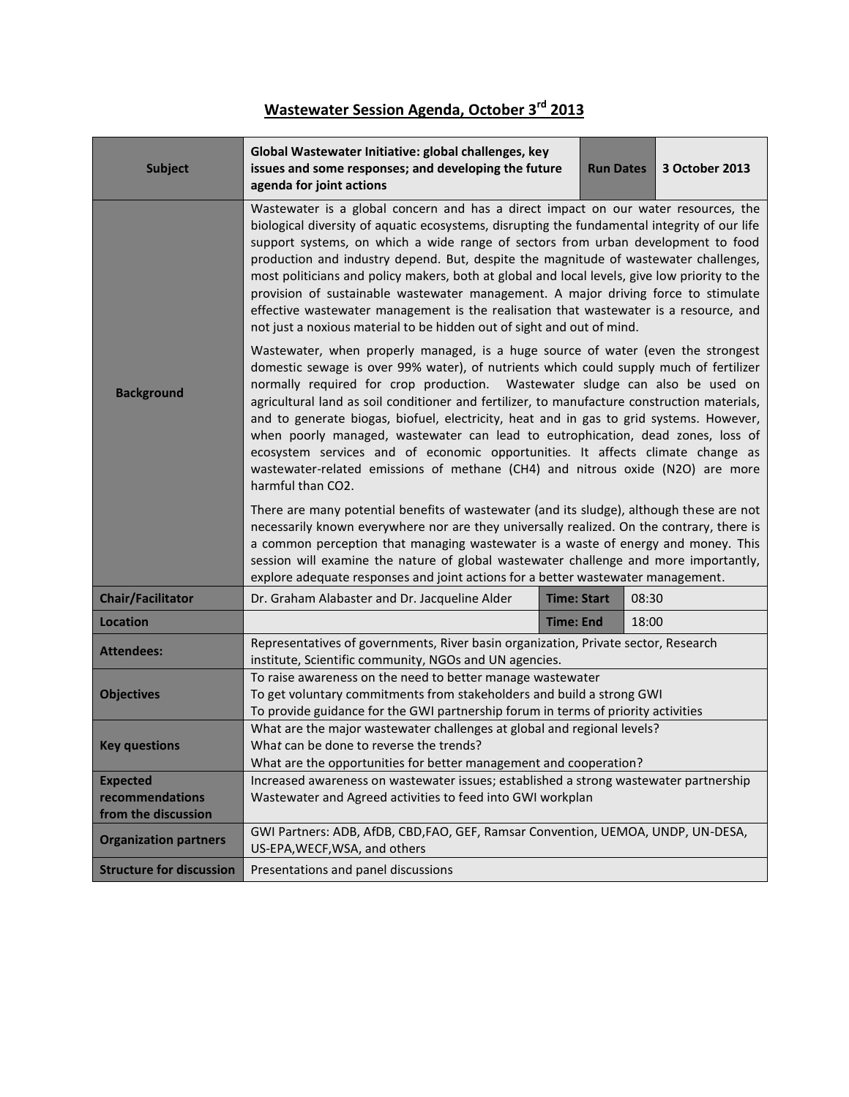## **Wastewater Session Agenda, October 3rd 2013**

| <b>Subject</b>                         | Global Wastewater Initiative: global challenges, key<br>issues and some responses; and developing the future<br>agenda for joint actions                                                                                                                                                                                                                                                                                                                                                                                                                                                                                                                                                                                          |                    | <b>Run Dates</b> |       | 3 October 2013 |  |
|----------------------------------------|-----------------------------------------------------------------------------------------------------------------------------------------------------------------------------------------------------------------------------------------------------------------------------------------------------------------------------------------------------------------------------------------------------------------------------------------------------------------------------------------------------------------------------------------------------------------------------------------------------------------------------------------------------------------------------------------------------------------------------------|--------------------|------------------|-------|----------------|--|
|                                        | Wastewater is a global concern and has a direct impact on our water resources, the<br>biological diversity of aquatic ecosystems, disrupting the fundamental integrity of our life<br>support systems, on which a wide range of sectors from urban development to food<br>production and industry depend. But, despite the magnitude of wastewater challenges,<br>most politicians and policy makers, both at global and local levels, give low priority to the<br>provision of sustainable wastewater management. A major driving force to stimulate<br>effective wastewater management is the realisation that wastewater is a resource, and<br>not just a noxious material to be hidden out of sight and out of mind.          |                    |                  |       |                |  |
| <b>Background</b>                      | Wastewater, when properly managed, is a huge source of water (even the strongest<br>domestic sewage is over 99% water), of nutrients which could supply much of fertilizer<br>normally required for crop production. Wastewater sludge can also be used on<br>agricultural land as soil conditioner and fertilizer, to manufacture construction materials,<br>and to generate biogas, biofuel, electricity, heat and in gas to grid systems. However,<br>when poorly managed, wastewater can lead to eutrophication, dead zones, loss of<br>ecosystem services and of economic opportunities. It affects climate change as<br>wastewater-related emissions of methane (CH4) and nitrous oxide (N2O) are more<br>harmful than CO2. |                    |                  |       |                |  |
|                                        | There are many potential benefits of wastewater (and its sludge), although these are not<br>necessarily known everywhere nor are they universally realized. On the contrary, there is<br>a common perception that managing wastewater is a waste of energy and money. This<br>session will examine the nature of global wastewater challenge and more importantly,<br>explore adequate responses and joint actions for a better wastewater management.                                                                                                                                                                                                                                                                            |                    |                  |       |                |  |
| <b>Chair/Facilitator</b>               | Dr. Graham Alabaster and Dr. Jacqueline Alder                                                                                                                                                                                                                                                                                                                                                                                                                                                                                                                                                                                                                                                                                     | <b>Time: Start</b> |                  | 08:30 |                |  |
| <b>Location</b>                        |                                                                                                                                                                                                                                                                                                                                                                                                                                                                                                                                                                                                                                                                                                                                   | <b>Time: End</b>   |                  | 18:00 |                |  |
| <b>Attendees:</b>                      | Representatives of governments, River basin organization, Private sector, Research<br>institute, Scientific community, NGOs and UN agencies.                                                                                                                                                                                                                                                                                                                                                                                                                                                                                                                                                                                      |                    |                  |       |                |  |
| <b>Objectives</b>                      | To raise awareness on the need to better manage wastewater<br>To get voluntary commitments from stakeholders and build a strong GWI<br>To provide guidance for the GWI partnership forum in terms of priority activities                                                                                                                                                                                                                                                                                                                                                                                                                                                                                                          |                    |                  |       |                |  |
| <b>Key questions</b>                   | What are the major wastewater challenges at global and regional levels?<br>What can be done to reverse the trends?<br>What are the opportunities for better management and cooperation?                                                                                                                                                                                                                                                                                                                                                                                                                                                                                                                                           |                    |                  |       |                |  |
| <b>Expected</b>                        | Increased awareness on wastewater issues; established a strong wastewater partnership                                                                                                                                                                                                                                                                                                                                                                                                                                                                                                                                                                                                                                             |                    |                  |       |                |  |
| recommendations<br>from the discussion | Wastewater and Agreed activities to feed into GWI workplan                                                                                                                                                                                                                                                                                                                                                                                                                                                                                                                                                                                                                                                                        |                    |                  |       |                |  |
| <b>Organization partners</b>           | GWI Partners: ADB, AfDB, CBD, FAO, GEF, Ramsar Convention, UEMOA, UNDP, UN-DESA,<br>US-EPA, WECF, WSA, and others                                                                                                                                                                                                                                                                                                                                                                                                                                                                                                                                                                                                                 |                    |                  |       |                |  |
| <b>Structure for discussion</b>        | Presentations and panel discussions                                                                                                                                                                                                                                                                                                                                                                                                                                                                                                                                                                                                                                                                                               |                    |                  |       |                |  |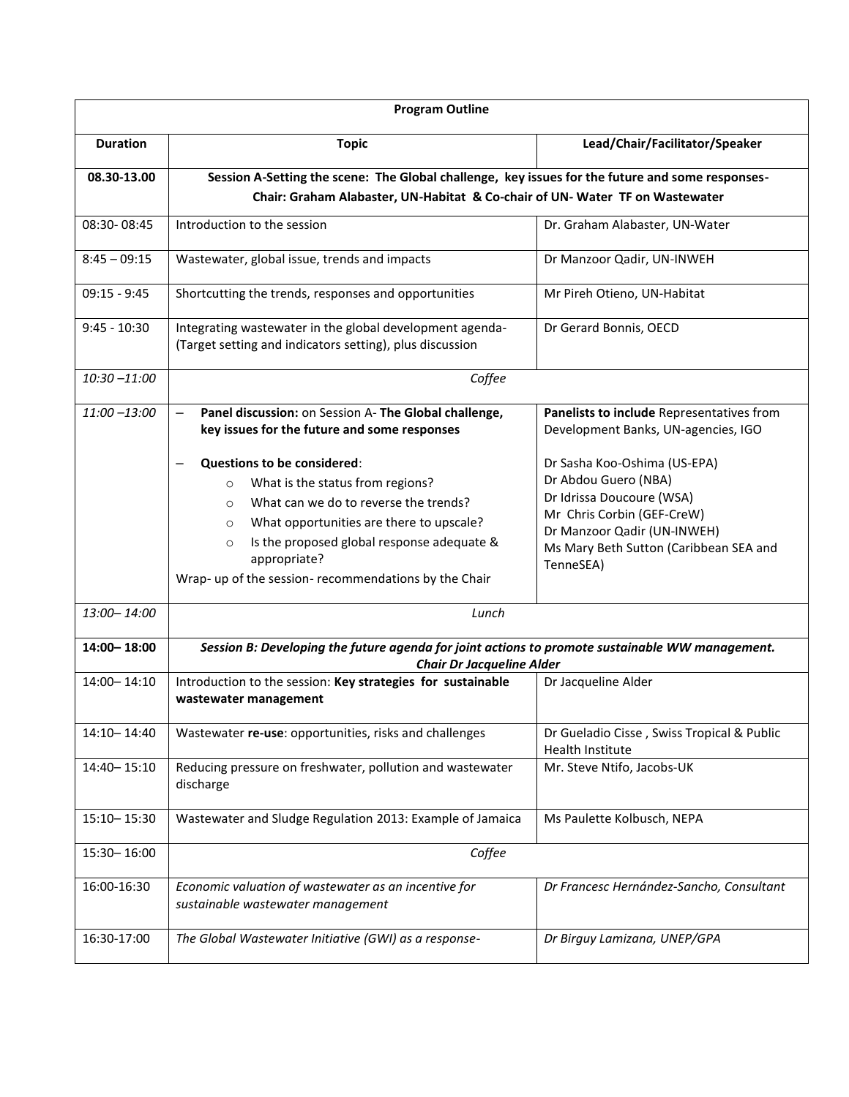| <b>Program Outline</b>                                                                                          |                                                                                                                                                                                                                                                                                                                                |                                                                                                                                                                                                       |  |  |  |  |  |
|-----------------------------------------------------------------------------------------------------------------|--------------------------------------------------------------------------------------------------------------------------------------------------------------------------------------------------------------------------------------------------------------------------------------------------------------------------------|-------------------------------------------------------------------------------------------------------------------------------------------------------------------------------------------------------|--|--|--|--|--|
| <b>Duration</b>                                                                                                 | <b>Topic</b>                                                                                                                                                                                                                                                                                                                   | Lead/Chair/Facilitator/Speaker                                                                                                                                                                        |  |  |  |  |  |
| Session A-Setting the scene: The Global challenge, key issues for the future and some responses-<br>08.30-13.00 |                                                                                                                                                                                                                                                                                                                                |                                                                                                                                                                                                       |  |  |  |  |  |
|                                                                                                                 | Chair: Graham Alabaster, UN-Habitat & Co-chair of UN- Water TF on Wastewater                                                                                                                                                                                                                                                   |                                                                                                                                                                                                       |  |  |  |  |  |
| 08:30-08:45                                                                                                     | Introduction to the session                                                                                                                                                                                                                                                                                                    | Dr. Graham Alabaster, UN-Water                                                                                                                                                                        |  |  |  |  |  |
| $8:45 - 09:15$                                                                                                  | Wastewater, global issue, trends and impacts                                                                                                                                                                                                                                                                                   | Dr Manzoor Qadir, UN-INWEH                                                                                                                                                                            |  |  |  |  |  |
| $09:15 - 9:45$                                                                                                  | Shortcutting the trends, responses and opportunities                                                                                                                                                                                                                                                                           | Mr Pireh Otieno, UN-Habitat                                                                                                                                                                           |  |  |  |  |  |
| $9:45 - 10:30$                                                                                                  | Integrating wastewater in the global development agenda-<br>(Target setting and indicators setting), plus discussion                                                                                                                                                                                                           | Dr Gerard Bonnis, OECD                                                                                                                                                                                |  |  |  |  |  |
| $10:30 - 11:00$                                                                                                 | Coffee                                                                                                                                                                                                                                                                                                                         |                                                                                                                                                                                                       |  |  |  |  |  |
| $11:00 - 13:00$                                                                                                 | Panel discussion: on Session A- The Global challenge,<br>$\overline{\phantom{m}}$<br>key issues for the future and some responses                                                                                                                                                                                              | Panelists to include Representatives from<br>Development Banks, UN-agencies, IGO                                                                                                                      |  |  |  |  |  |
|                                                                                                                 | <b>Questions to be considered:</b><br>What is the status from regions?<br>$\circ$<br>What can we do to reverse the trends?<br>$\circ$<br>What opportunities are there to upscale?<br>$\circ$<br>Is the proposed global response adequate &<br>$\circ$<br>appropriate?<br>Wrap- up of the session- recommendations by the Chair | Dr Sasha Koo-Oshima (US-EPA)<br>Dr Abdou Guero (NBA)<br>Dr Idrissa Doucoure (WSA)<br>Mr Chris Corbin (GEF-CreW)<br>Dr Manzoor Qadir (UN-INWEH)<br>Ms Mary Beth Sutton (Caribbean SEA and<br>TenneSEA) |  |  |  |  |  |
| 13:00-14:00                                                                                                     | Lunch                                                                                                                                                                                                                                                                                                                          |                                                                                                                                                                                                       |  |  |  |  |  |
| 14:00 - 18:00                                                                                                   | Session B: Developing the future agenda for joint actions to promote sustainable WW management.<br><b>Chair Dr Jacqueline Alder</b>                                                                                                                                                                                            |                                                                                                                                                                                                       |  |  |  |  |  |
| $14:00 - 14:10$                                                                                                 | Introduction to the session: Key strategies for sustainable<br>wastewater management                                                                                                                                                                                                                                           | Dr Jacqueline Alder                                                                                                                                                                                   |  |  |  |  |  |
| 14:10-14:40                                                                                                     | Wastewater re-use: opportunities, risks and challenges                                                                                                                                                                                                                                                                         | Dr Gueladio Cisse, Swiss Tropical & Public<br><b>Health Institute</b>                                                                                                                                 |  |  |  |  |  |
| 14:40-15:10                                                                                                     | Reducing pressure on freshwater, pollution and wastewater<br>discharge                                                                                                                                                                                                                                                         | Mr. Steve Ntifo, Jacobs-UK                                                                                                                                                                            |  |  |  |  |  |
| 15:10 - 15:30                                                                                                   | Wastewater and Sludge Regulation 2013: Example of Jamaica                                                                                                                                                                                                                                                                      | Ms Paulette Kolbusch, NEPA                                                                                                                                                                            |  |  |  |  |  |
| 15:30-16:00                                                                                                     | Coffee                                                                                                                                                                                                                                                                                                                         |                                                                                                                                                                                                       |  |  |  |  |  |
| 16:00-16:30                                                                                                     | Economic valuation of wastewater as an incentive for<br>sustainable wastewater management                                                                                                                                                                                                                                      | Dr Francesc Hernández-Sancho, Consultant                                                                                                                                                              |  |  |  |  |  |
| 16:30-17:00                                                                                                     | The Global Wastewater Initiative (GWI) as a response-                                                                                                                                                                                                                                                                          | Dr Birguy Lamizana, UNEP/GPA                                                                                                                                                                          |  |  |  |  |  |